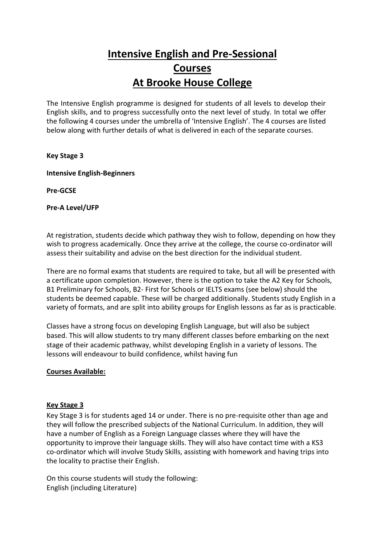# **Intensive English and Pre-Sessional Courses At Brooke House College**

The Intensive English programme is designed for students of all levels to develop their English skills, and to progress successfully onto the next level of study. In total we offer the following 4 courses under the umbrella of 'Intensive English'. The 4 courses are listed below along with further details of what is delivered in each of the separate courses.

## **Key Stage 3**

**Intensive English-Beginners**

**Pre-GCSE**

**Pre-A Level/UFP**

At registration, students decide which pathway they wish to follow, depending on how they wish to progress academically. Once they arrive at the college, the course co-ordinator will assess their suitability and advise on the best direction for the individual student.

There are no formal exams that students are required to take, but all will be presented with a certificate upon completion. However, there is the option to take the A2 Key for Schools, B1 Preliminary for Schools, B2- First for Schools or IELTS exams (see below) should the students be deemed capable. These will be charged additionally. Students study English in a variety of formats, and are split into ability groups for English lessons as far as is practicable.

Classes have a strong focus on developing English Language, but will also be subject based. This will allow students to try many different classes before embarking on the next stage of their academic pathway, whilst developing English in a variety of lessons. The lessons will endeavour to build confidence, whilst having fun

#### **Courses Available:**

#### **Key Stage 3**

Key Stage 3 is for students aged 14 or under. There is no pre-requisite other than age and they will follow the prescribed subjects of the National Curriculum. In addition, they will have a number of English as a Foreign Language classes where they will have the opportunity to improve their language skills. They will also have contact time with a KS3 co-ordinator which will involve Study Skills, assisting with homework and having trips into the locality to practise their English.

On this course students will study the following: English (including Literature)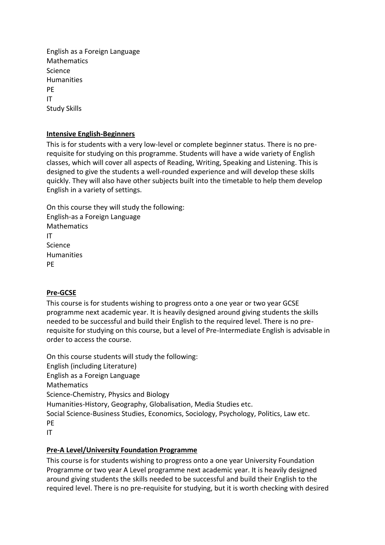English as a Foreign Language Mathematics Science Humanities PE IT Study Skills

## **Intensive English-Beginners**

This is for students with a very low-level or complete beginner status. There is no prerequisite for studying on this programme. Students will have a wide variety of English classes, which will cover all aspects of Reading, Writing, Speaking and Listening. This is designed to give the students a well-rounded experience and will develop these skills quickly. They will also have other subjects built into the timetable to help them develop English in a variety of settings.

On this course they will study the following: English-as a Foreign Language Mathematics IT **Science** Humanities PE

#### **Pre-GCSE**

This course is for students wishing to progress onto a one year or two year GCSE programme next academic year. It is heavily designed around giving students the skills needed to be successful and build their English to the required level. There is no prerequisite for studying on this course, but a level of Pre-Intermediate English is advisable in order to access the course.

On this course students will study the following: English (including Literature) English as a Foreign Language Mathematics Science-Chemistry, Physics and Biology Humanities-History, Geography, Globalisation, Media Studies etc. Social Science-Business Studies, Economics, Sociology, Psychology, Politics, Law etc. PE IT

#### **Pre-A Level/University Foundation Programme**

This course is for students wishing to progress onto a one year University Foundation Programme or two year A Level programme next academic year. It is heavily designed around giving students the skills needed to be successful and build their English to the required level. There is no pre-requisite for studying, but it is worth checking with desired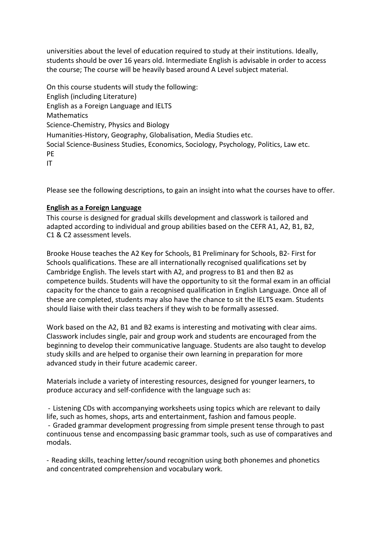universities about the level of education required to study at their institutions. Ideally, students should be over 16 years old. Intermediate English is advisable in order to access the course; The course will be heavily based around A Level subject material.

On this course students will study the following: English (including Literature) English as a Foreign Language and IELTS **Mathematics** Science-Chemistry, Physics and Biology Humanities-History, Geography, Globalisation, Media Studies etc. Social Science-Business Studies, Economics, Sociology, Psychology, Politics, Law etc. PE IT

Please see the following descriptions, to gain an insight into what the courses have to offer.

## **English as a Foreign Language**

This course is designed for gradual skills development and classwork is tailored and adapted according to individual and group abilities based on the CEFR A1, A2, B1, B2, C1 & C2 assessment levels.

Brooke House teaches the A2 Key for Schools, B1 Preliminary for Schools, B2- First for Schools qualifications. These are all internationally recognised qualifications set by Cambridge English. The levels start with A2, and progress to B1 and then B2 as competence builds. Students will have the opportunity to sit the formal exam in an official capacity for the chance to gain a recognised qualification in English Language. Once all of these are completed, students may also have the chance to sit the IELTS exam. Students should liaise with their class teachers if they wish to be formally assessed.

Work based on the A2, B1 and B2 exams is interesting and motivating with clear aims. Classwork includes single, pair and group work and students are encouraged from the beginning to develop their communicative language. Students are also taught to develop study skills and are helped to organise their own learning in preparation for more advanced study in their future academic career.

Materials include a variety of interesting resources, designed for younger learners, to produce accuracy and self-confidence with the language such as:

- Listening CDs with accompanying worksheets using topics which are relevant to daily life, such as homes, shops, arts and entertainment, fashion and famous people. - Graded grammar development progressing from simple present tense through to past continuous tense and encompassing basic grammar tools, such as use of comparatives and modals.

- Reading skills, teaching letter/sound recognition using both phonemes and phonetics and concentrated comprehension and vocabulary work.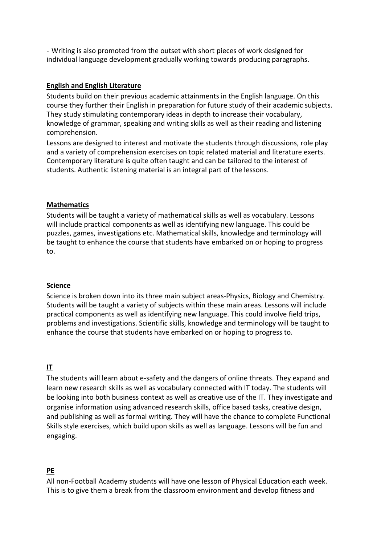- Writing is also promoted from the outset with short pieces of work designed for individual language development gradually working towards producing paragraphs.

#### **English and English Literature**

Students build on their previous academic attainments in the English language. On this course they further their English in preparation for future study of their academic subjects. They study stimulating contemporary ideas in depth to increase their vocabulary, knowledge of grammar, speaking and writing skills as well as their reading and listening comprehension.

Lessons are designed to interest and motivate the students through discussions, role play and a variety of comprehension exercises on topic related material and literature exerts. Contemporary literature is quite often taught and can be tailored to the interest of students. Authentic listening material is an integral part of the lessons.

## **Mathematics**

Students will be taught a variety of mathematical skills as well as vocabulary. Lessons will include practical components as well as identifying new language. This could be puzzles, games, investigations etc. Mathematical skills, knowledge and terminology will be taught to enhance the course that students have embarked on or hoping to progress to.

#### **Science**

Science is broken down into its three main subject areas-Physics, Biology and Chemistry. Students will be taught a variety of subjects within these main areas. Lessons will include practical components as well as identifying new language. This could involve field trips, problems and investigations. Scientific skills, knowledge and terminology will be taught to enhance the course that students have embarked on or hoping to progress to.

# **IT**

The students will learn about e-safety and the dangers of online threats. They expand and learn new research skills as well as vocabulary connected with IT today. The students will be looking into both business context as well as creative use of the IT. They investigate and organise information using advanced research skills, office based tasks, creative design, and publishing as well as formal writing. They will have the chance to complete Functional Skills style exercises, which build upon skills as well as language. Lessons will be fun and engaging.

# **PE**

All non-Football Academy students will have one lesson of Physical Education each week. This is to give them a break from the classroom environment and develop fitness and